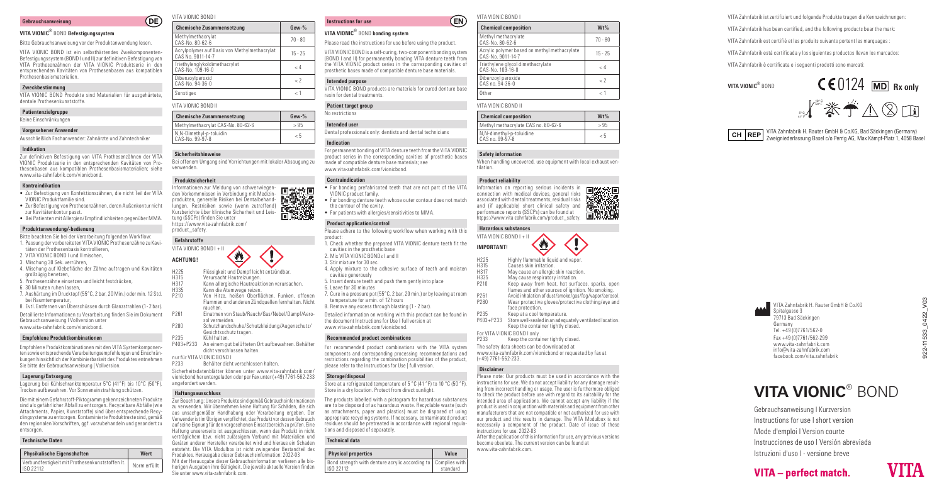### **Gebrauchsanweisung**

# **VITA VIONIC**® BOND **Befestigungssystem**

## Bitte Gebrauchsanweisung vor der Produktanwendung lesen.

VITA VIONIC BOND ist ein selbsthärtendes Zweikomponenten-Befestigungssystem (BOND I und II) zur definitiven Befestigung von VITA Prothesenzähnen der VITA VIONIC Produktserie in den entsprechenden Kavitäten von Prothesenbasen aus kompatiblen Prothesenbasismaterialien.

# **Zweckbestimmung**

VITA VIONIC BOND Produkte sind Materialien für ausgehärtete, dentale Prothesenkunststoffe.

# **Patientenzielgruppe**

Keine Einschränkungen

## **Vorgesehener Anwender**

Ausschließlich Fachanwender: Zahnärzte und Zahntechniker

# **Indikation**

Zur definitiven Befestigung von VITA Prothesenzähnen der VITA VIONIC Produktserie in den entsprechenden Kavitäten von Prothesenbasen aus kompatiblen Prothesenbasismaterialien; siehe www.vita-zahnfabrik.com/vionicbond.

## **Kontraindikation**

- Zur Befestigung von Konfektionszähnen, die nicht Teil der VITA VIONIC Produktfamilie sind.
- Zur Befestigung von Prothesenzähnen, deren Außenkontur nicht zur Kavitätenkontur passt.
- Bei Patienten mit Allergien/Empfindlichkeiten gegenüber MMA.

# **Produktanwendung/-bedienung**

- Bitte beachten Sie bei der Verarbeitung folgenden Workflow:
- 1. Passung der vorbereiteten VITA VIONIC Prothesenzähne zu Kavitäten der Prothesenbasis kontrollieren,
- 2. VITA VIONIC BOND I und II mischen,
- 3. Mischung 30 Sek. verrühren,
- 4. Mischung auf Klebefläche der Zähne auftragen und Kavitäten
- großzügig benetzen, 5. Prothesenzähne einsetzen und leicht festdrücken,
- 6. 30 Minuten ruhen lassen,
- 7. Aushärtung im Drucktopf (55°C, 2 bar, 20 Min.) oder min. 12 Std. bei Raumtemperatur,
- 8. Evtl. Entfernen von Überschüssen durch Glanzstrahlen (1 2 bar).

Detaillierte Informationen zu Verarbeitung finden Sie im Dokument Gebrauchsanweisung I Vollversion unter www.vita-zahnfabrik.com/vionicbond.

## **Empfohlene Produktkombinationen**

Empfohlene Produktkombinationen mit den VITA Systemkomponenten sowie entsprechende Verarbeitungsempfehlungen und Einschränkungen hinsichtlich der Kombinierbarkeit des Produktes entnehmen Sie bitte der Gebrauchsanweisung | Vollversion.

# **Lagerung/Entsorgung**

Lagerung bei Kühlschranktemperatur 5°C (41°F) bis 10°C (50°F). Trocken aufbewahren. Vor Sonneneinstrahlung schützen.

Die mit einem Gefahrstoff-Piktogramm gekennzeichneten Produkte sind als gefährlicher Abfall zu entsorgen. Recycelbare Abfälle (wie Attachments, Papier, Kunststoffe) sind über entsprechende Recyclingsysteme zu entsorgen. Kontaminierte Produktreste sind, gemäß den regionalen Vorschriften, ggf. vorzubehandeln und gesondert zu entsorgen.

# **Technische Daten**

| Physikalische Eigenschaften                                  | Wert         |
|--------------------------------------------------------------|--------------|
| Verbundfestigkeit mit Prothesenkunststoffen It.<br>ISO 22112 | Norm erfüllt |

# VITA VIONIC BOND I

 $OE$ 

| $Gew-%$      |
|--------------|
| $70 - 80$    |
| $15 - 25$    |
| < 4          |
| $\epsilon$ ? |
| $\geq 1$     |
|              |

| <b>Chemische Zusammensetzung</b>            | $Gew-%$  |
|---------------------------------------------|----------|
| Methylmethacrylat CAS-No. 80-62-6           | > 95     |
| N, N-Dimethyl-p-toluidin<br>CAS-No. 99-97-8 | $\leq 5$ |

## **Sicherheitshinweise**

Bei offenem Umgang sind Vorrichtungen mit lokaler Absaugung zu verwenden.

# **Produktsicherheit**

Informationen zur Meldung von schwerwiegen-同悠永同 den Vorkommnissen in Verbindung mit Medizin-**Extrast** produkten, generelle Risiken bei Dentalbehandlungen, Restrisiken sowie (wenn zutreffend) 西湖湖 Kurzberichte über klinische Sicherheit und Leistung (SSCPs) finden Sie unter https://www.vita-zahnfahrik.com/ product\_safety.

# **Gefahrstoffe**

| VITA VIONIC BOND I + II |                                                                                                                 |
|-------------------------|-----------------------------------------------------------------------------------------------------------------|
| <b>ACHTUNG!</b>         |                                                                                                                 |
| H225                    | Flüssigkeit und Dampf leicht entzündbar.                                                                        |
| H315<br>H317            | Verursacht Hautreizungen.<br>Kann allergische Hautreaktionen verursachen.                                       |
| H335                    | Kann die Atemwege reizen.                                                                                       |
| P210                    | Von Hitze, heißen Oberflächen, Funken, offenen<br>Flammen und anderen Zündquellen fernhalten. Nicht<br>rauchen. |
| P261                    | Einatmen von Staub/Rauch/Gas/Nebel/Dampf/Aero-<br>sol vermeiden.                                                |
| P280                    | Schutzhandschuhe/Schutzkleidung/Augenschutz/<br>Conjohtooobuta traaan                                           |

- Gesichtsschutz tragen.
- P235 Kühl halten.<br>P403+P233 An einem qu An einem gut belüfteten Ort aufbewahren. Behälter dicht verschlossen halten.
- nur für VITA VIONIC BOND I
- Behälter dicht verschlossen halten.
- Sicherheitsdatenblätter können unter www.vita-zahnfabrik.com/ vionicbond heruntergeladen oder per Fax unter (+49) 7761-562-233 angefordert werden.

# **Haftungsausschluss**

Zur Beachtung: Unsere Produkte sind gemäß Gebrauchsinformationen zu verwenden. Wir übernehmen keine Haftung für Schäden, die sich aus unsachgemäßer Handhabung oder Verarbeitung ergeben. Der Verwender ist im Übrigen verpflichtet, das Produkt vor dessen Gebrauch auf seine Eignung für den vorgesehenen Einsatzbereich zu prüfen. Eine Haftung unsererseits ist ausgeschlossen, wenn das Produkt in nicht verträglichem bzw. nicht zulässigem Verbund mit Materialien und Geräten anderer Hersteller verarbeitet wird und hieraus ein Schaden entsteht. Die VITA Modulbox ist nicht zwingender Bestandteil des Produktes. Herausgabe dieser Gebrauchsinformation: 2022-03 Mit der Herausgabe dieser Gebrauchsinformation verlieren alle bisherigen Ausgaben ihre Gültigkeit. Die jeweils aktuelle Version finden Sie unter www.vita-zahnfabrik.com.

#### VITA VIONIC BOND I **EN**

| VITA VIONIC <sup>®</sup> BOND bonding system |  |  |  |
|----------------------------------------------|--|--|--|
|----------------------------------------------|--|--|--|

Please read the instructions for use before using the product.

VITA VIONIC BOND is a self-curing, two-component bonding system (BOND I and II) for permanently bonding VITA denture teeth from the VITA VIONIC product series in the corresponding cavities of prosthetic bases made of compatible denture base materials.

# **Intended purpose**

**Instructions for use**

VITA VIONIC BOND products are materials for cured denture base resin for dental treatments.

## **Patient target group** No restrictions

**Intended user** Dental professionals only: dentists and dental technicians

# **Indication**

For permanent bonding of VITA denture teeth from the VITA VIONIC product series in the corresponding cavities of prosthetic bases made of compatible denture base materials; see www.vita-zahnfabrik.com/vionicbond.

## **Contraindication**

- For bonding prefabricated teeth that are not part of the VITA VIONIC product family.
- For bonding denture teeth whose outer contour does not match the contour of the cavity.
- For patients with allergies/sensitivities to MMA.

# **Product application/control**

Please adhere to the following workflow when working with this product: 1. Check whether the prepared VITA VIONIC denture teeth fit the cavities in the prosthetic base 2. Mix VITA VIONIC BONDs I and II

- 3. Stir mixture for 30 sec.
- 4. Apply mixture to the adhesive surface of teeth and moisten cavities generously
- 5. Insert denture teeth and push them gently into place
- 6. Leave for 30 minutes
- 7. Cure in a pressure pot (55°C, 2 bar, 20 min.) or by leaving at room temperature for a min. of 12 hours
- 8. Remove any excess through blasting (1 2 bar).

Detailed information on working with this product can be found in the document Instructions for Use I full version at www.vita-zahnfabrik.com/vionicbond.

## **Recommended product combinations**

For recommended product combinations with the VITA system components and corresponding processing recommendations and restrictions regarding the combination possibilities of the product, please refer to the Instructions for Use | full version.

# **Storage/disposal**

Store at a refrigerated temperature of 5 °C (41 °F) to 10 °C (50 °F). Store in a dry location. Protect from direct sunlight.

The products labelled with a pictogram for hazardous substances are to be disposed of as hazardous waste. Recyclable waste (such as attachments, paper and plastics) must be disposed of using appropriate recycling systems. If necessary, contaminated product residues should be pretreated in accordance with regional regulations and disposed of separately.

# **Technical data**

|   | <b>Physical properties</b>                                                   | Value    |
|---|------------------------------------------------------------------------------|----------|
| ۰ | Bond strength with denture acrylic according to   Complies with<br>ISO 22112 | standard |

| <b>Chemical composition</b>                                       | $Wt\%$       |
|-------------------------------------------------------------------|--------------|
| Methyl methacrylate<br>CAS-No. 80-62-6                            | $70 - 80$    |
| Acrylic polymer based on methyl methacrylate<br>CAS-No. 9011-14-7 | $15 - 25$    |
| Triethylene glycol dimethacrylate<br>CAS-No. 109-16-0             | < 4          |
| Dibenzoyl peroxide<br>CAS no. 94-36-0                             | $\epsilon$ ? |
| Other                                                             |              |

| VITA VIONIC BOND II                          |        |  |
|----------------------------------------------|--------|--|
| <b>Chemical composition</b>                  | $Wt\%$ |  |
| Methyl methacrylate CAS no. 80-62-6          | > 95   |  |
| N, N-dimethyl-p-toluidine<br>CAS no. 99-97-8 | - 5    |  |

### **Safety information**

When handling uncovered, use equipment with local exhaust ventilation.

# **Product reliability**







- H225 Highly flammable liquid and vapor<br>H315 Causes skin irritation.
- H315 Causes skin irritation.
- H317 May cause an allergic skin reaction.
- H335 May cause respiratory irritation. Keep away from heat, hot surfaces, sparks, open

flames and other sources of ignition. No smoking.

- P261 Avoid inhalation of dust/smoke/gas/fog/vapor/aerosol.<br>P280 Wear protective gloves/protective clothing/eve and Wear protective gloves/protective clothing/eye and face protection.
- P235 Keep at a cool temperature. Notice that the contract of the contract of the contract of the contract of the contract of the contract of the contract of the contract of the contract of the contract of the contract of t
- P403+P233 Store well-sealed in an adequately ventilated location. Keep the container tightly closed.

For VITA VIONIC BOND I only Keep the container tightly closed. The safety data sheets can be downloaded at

www.vita-zahnfabrik.com/vionicbond or requested by fax at (+49) 7761-562-233.

# **Disclaimer**

www.vita-zahnfabrik.com.

Please note: Our products must be used in accordance with the instructions for use. We do not accept liability for any damage resulting from incorrect handling or usage. The user is furthermore obliged to check the product before use with regard to its suitability for the intended area of applications. We cannot accept any liability if the product is used in conjunction with materials and equipment from other manufacturers that are not compatible or not authorized for use with our product and this results in damage. The VITA Modulbox is not necessarily a component of the product. Date of issue of these instructions for use: 2022-03 After the publication of this information for use, any previous versions become obsolete. The current version can be found at

Gebrauchsanweisung I Kurzversion Instructions for use I short version Mode d'emploi I Version courte

VITA - perfect match.

Instrucciones de uso I Versión abreviada Istruzioni d'uso I - versione breve

**VITA VIONIC**® BOND

VITA Zahnfabrik H. Rauter GmbH & Co.KG

VITA Zahnfabrik ist zertifiziert und folgende Produkte tragen die Kennzeichnungen: VITA Zahnfabrik has been certified, and the following products bear the mark: VITA Zahnfabrik est certifié et les produits suivants portent les marquages :

VITA Zahnfabrik está certificada y los siguientes productos llevan los marcados<br>.

VITA VIONIC® BOND **CE** 0124 **RX only** 

Kanal 2000 Kopenhagen K Dänemark. Sonstige in die sem Dokument genannte genannte genannte genannte genannte ge

VITA Zahnfabrik H. Rauter GmbH & Co.KG, Bad Säckingen (Germany) Zweigniederlassung Basel c/o Perrig AG, Max Kämpf-Platz 1, 4058 Basel **CH REP**

10° C 50° F  $5^\circ$  C/  $\bullet$ 

VITA Zahnfabrik è certificata e i seguenti prodotti sono marcati:

 $\begin{bmatrix} 1 & 0 \\ 0 & 0 \end{bmatrix}$  Sandford, OX4 6LB, United Kingdom Gate, Oxford, OX4 6LB, United Kingdom Gate, Oxford, OX4 6LB, United Kingdom Gate, Oxford, OX4 6LB, United Kingdom Gate, Oxford, OX4 6LB, United Kingdom Gate, OX4

922-11533\_0422\_V03

 $11533<sub>-</sub>$ 

Spitalgasse 3 79713 Bad Säckingen Germany Tel. +49 (0)7761/562-0 Fax +49 (0)7761/562-299 www.vita-zahnfabrik.com info@vita-zahnfabrik.com facebook.com/vita.zahnfabrik